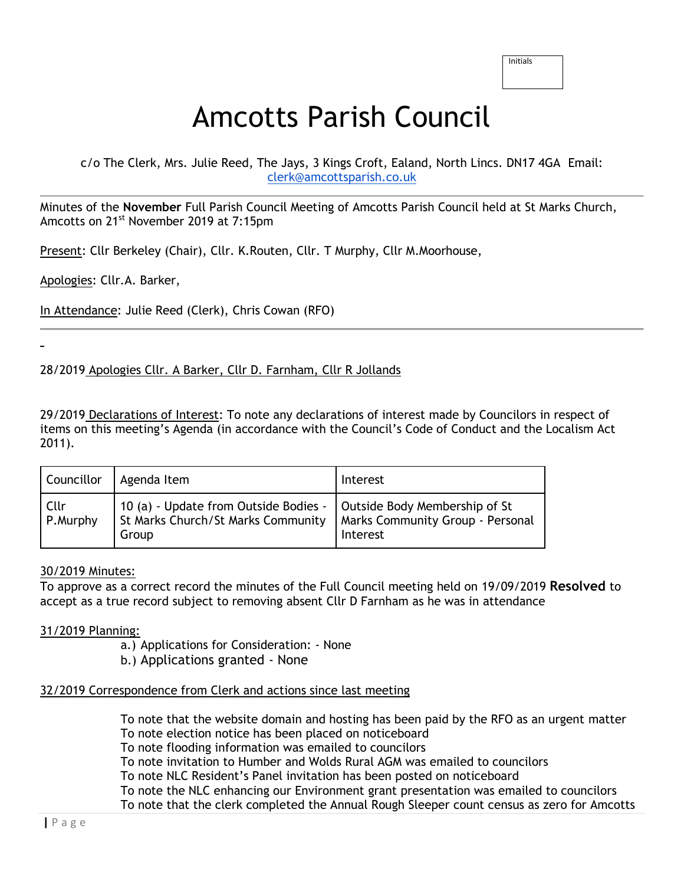# Amcotts Parish Council

c/o The Clerk, Mrs. Julie Reed, The Jays, 3 Kings Croft, Ealand, North Lincs. DN17 4GA Email: [clerk@amcottsparish.co.uk](mailto:clerk@amcottsparish.co.uk)

Minutes of the **November** Full Parish Council Meeting of Amcotts Parish Council held at St Marks Church, Amcotts on 21<sup>st</sup> November 2019 at 7:15pm

Present: Cllr Berkeley (Chair), Cllr. K.Routen, Cllr. T Murphy, Cllr M.Moorhouse,

Apologies: Cllr.A. Barker,

In Attendance: Julie Reed (Clerk), Chris Cowan (RFO)

28/2019 Apologies Cllr. A Barker, Cllr D. Farnham, Cllr R Jollands

29/2019 Declarations of Interest: To note any declarations of interest made by Councilors in respect of items on this meeting's Agenda (in accordance with the Council's Code of Conduct and the Localism Act 2011).

| Councillor       | Agenda Item                                                                                                          | Interest                                     |
|------------------|----------------------------------------------------------------------------------------------------------------------|----------------------------------------------|
| Cllr<br>P.Murphy | 10 (a) - Update from Outside Bodies -   Outside Body Membership of St<br>St Marks Church/St Marks Community<br>Group | Marks Community Group - Personal<br>Interest |

### 30/2019 Minutes:

To approve as a correct record the minutes of the Full Council meeting held on 19/09/2019 **Resolved** to accept as a true record subject to removing absent Cllr D Farnham as he was in attendance

### 31/2019 Planning:

a.) Applications for Consideration: - None

b.) Applications granted - None

# 32/2019 Correspondence from Clerk and actions since last meeting

To note that the website domain and hosting has been paid by the RFO as an urgent matter To note election notice has been placed on noticeboard

To note flooding information was emailed to councilors

To note invitation to Humber and Wolds Rural AGM was emailed to councilors

To note NLC Resident's Panel invitation has been posted on noticeboard

To note the NLC enhancing our Environment grant presentation was emailed to councilors

To note that the clerk completed the Annual Rough Sleeper count census as zero for Amcotts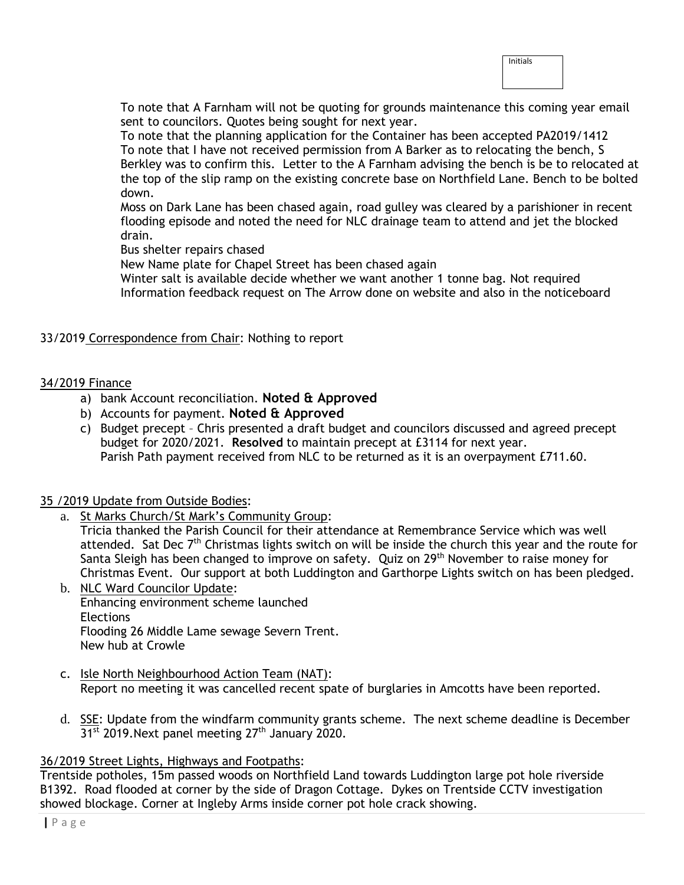| Initials |  |  |
|----------|--|--|
|          |  |  |
|          |  |  |

To note that A Farnham will not be quoting for grounds maintenance this coming year email sent to councilors. Quotes being sought for next year.

To note that the planning application for the Container has been accepted PA2019/1412 To note that I have not received permission from A Barker as to relocating the bench, S Berkley was to confirm this. Letter to the A Farnham advising the bench is be to relocated at the top of the slip ramp on the existing concrete base on Northfield Lane. Bench to be bolted down.

Moss on Dark Lane has been chased again, road gulley was cleared by a parishioner in recent flooding episode and noted the need for NLC drainage team to attend and jet the blocked drain.

Bus shelter repairs chased

New Name plate for Chapel Street has been chased again

Winter salt is available decide whether we want another 1 tonne bag. Not required Information feedback request on The Arrow done on website and also in the noticeboard

# 33/2019 Correspondence from Chair: Nothing to report

### 34/2019 Finance

- a) bank Account reconciliation. **Noted & Approved**
- b) Accounts for payment. **Noted & Approved**
- c) Budget precept Chris presented a draft budget and councilors discussed and agreed precept budget for 2020/2021. **Resolved** to maintain precept at £3114 for next year. Parish Path payment received from NLC to be returned as it is an overpayment £711.60.

# 35 /2019 Update from Outside Bodies:

a. St Marks Church/St Mark's Community Group:

Tricia thanked the Parish Council for their attendance at Remembrance Service which was well attended. Sat Dec  $7<sup>th</sup>$  Christmas lights switch on will be inside the church this year and the route for Santa Sleigh has been changed to improve on safety. Quiz on 29<sup>th</sup> November to raise money for Christmas Event. Our support at both Luddington and Garthorpe Lights switch on has been pledged.

- b. NLC Ward Councilor Update: Enhancing environment scheme launched Elections Flooding 26 Middle Lame sewage Severn Trent. New hub at Crowle
- c. Isle North Neighbourhood Action Team (NAT): Report no meeting it was cancelled recent spate of burglaries in Amcotts have been reported.
- d. SSE: Update from the windfarm community grants scheme. The next scheme deadline is December  $31<sup>st</sup>$  2019. Next panel meeting  $27<sup>th</sup>$  January 2020.

# 36/2019 Street Lights, Highways and Footpaths:

Trentside potholes, 15m passed woods on Northfield Land towards Luddington large pot hole riverside B1392. Road flooded at corner by the side of Dragon Cottage. Dykes on Trentside CCTV investigation showed blockage. Corner at Ingleby Arms inside corner pot hole crack showing.